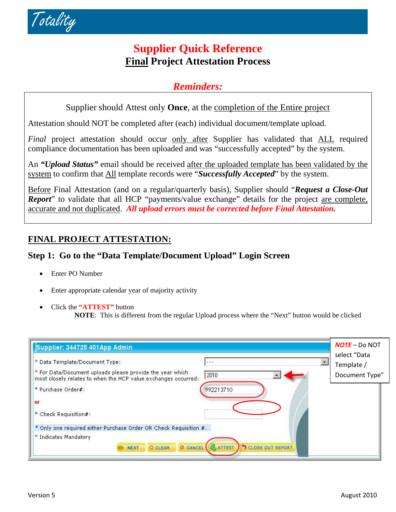

# **Supplier Quick Reference Final Project Attestation Process**

# *Reminders:*

Supplier should Attest only **Once**, at the completion of the Entire project

Attestation should NOT be completed after (each) individual document/template upload.

*Final* project attestation should occur only after Supplier has validated that ALL required compliance documentation has been uploaded and was "successfully accepted" by the system.

An *"Upload Status"* email should be received after the uploaded template has been validated by the system to confirm that All template records were "*Successfully Accepted*" by the system.

Before Final Attestation (and on a regular/quarterly basis), Supplier should "*Request a Close-Out Report*" to validate that all HCP "payments/value exchange" details for the project are complete, accurate and not duplicated. *All upload errors must be corrected before Final Attestation.*

## **FINAL PROJECT ATTESTATION:**

## **Step 1: Go to the "Data Template/Document Upload" Login Screen**

- Enter PO Number
- Enter appropriate calendar year of majority activity
- Click the **"ATTEST"** button

**NOTE**: This is different from the regular Upload process where the "Next" button would be clicked

| Supplier: 344725 401App Admin                                                                                                                                                                                | $NOTE – Do NOT$                              |
|--------------------------------------------------------------------------------------------------------------------------------------------------------------------------------------------------------------|----------------------------------------------|
| * Data Template/Document Type:<br><br>* For Data/Document uploads please provide the year which<br>2010<br>most closely relates to when the HCP value exchanges occurred:<br>* Purchase Order#:<br>992213710 | select "Data<br>Template /<br>Document Type" |
| oг<br>* Check Requisition#:                                                                                                                                                                                  |                                              |
| * Only one required either Purchase Order OR Check Requisition #.                                                                                                                                            |                                              |
| * Indicates Mandatory<br><b>&amp;ATTEST</b> CLOSE OUT REPORT<br><b>Ø CANCEL</b><br><b>O CLEAR</b><br><b>NEXT</b>                                                                                             |                                              |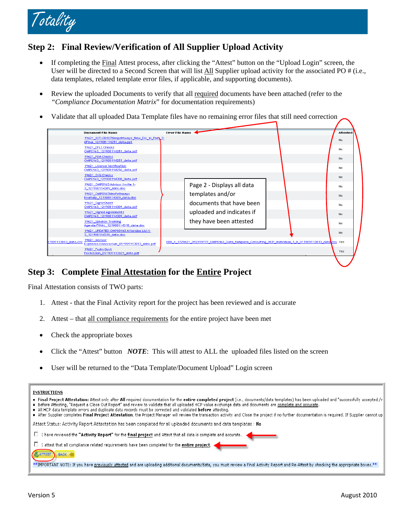

### **Step 2: Final Review/Verification of All Supplier Upload Activity**

- If completing the Final Attest process, after clicking the "Attest" button on the "Upload Login" screen, the User will be directed to a Second Screen that will list All Supplier upload activity for the associated PO # (i.e., data templates, related template error files, if applicable, and supporting documents).
- Review the uploaded Documents to verify that all required documents have been attached (refer to the *"Compliance Documentation Matrix*" for documentation requirements)
- Validate that all uploaded Data Template files have no remaining error files that still need correction

|                     | <b>Document File Name</b>                                                     | <b>Error File Name</b> |                                                                                                       |  | Attested |
|---------------------|-------------------------------------------------------------------------------|------------------------|-------------------------------------------------------------------------------------------------------|--|----------|
|                     | 19621 02TL08107Neopathways New Dir in Pair 3-<br>6Final_121908114251_data.ppt |                        |                                                                                                       |  | No       |
|                     | 19621 EPLS Checks<br>OMP0163_121908114253_data.pdf                            |                        |                                                                                                       |  | No.      |
|                     | 19621_FDA Checks<br>OMP0163_121908114255_data.pdf                             |                        |                                                                                                       |  | No.      |
|                     | 19621 License Verification<br>OMP0163 121908114256 data.pdf                   |                        |                                                                                                       |  | No.      |
|                     | 19621 OIG Checks<br>OMP0163 121908114308 data.pdf                             |                        |                                                                                                       |  | No.      |
|                     | 19621 OMP0163 Advisor Invite 1-<br>3 121908114309 data.doc                    |                        | Page 2 - Displays all data                                                                            |  | No.      |
|                     | 19621 OMP0163NeoPathways<br>Evaltally_121908114309_data.doc                   |                        | templates and/or                                                                                      |  | No.      |
|                     | 19621_SignInSheet<br>OMP0163_121908114309_data.pdf                            |                        | documents that have been                                                                              |  | No.      |
|                     | 19621 Signed Agreements<br>OMP0163 121908114309 data.pdf                      |                        | uploaded and indicates if                                                                             |  | No.      |
|                     | 19621 Speaker Training<br>Agenda.FINAL 121908114318 data.doc                  |                        | they have been attested                                                                               |  | No.      |
|                     | 19621 UPDATED.OMP00163 Attendee List1-<br>3_121908114318_data.doc             |                        |                                                                                                       |  | No       |
| 1909113813_data.csv | 19621 Advisor<br>Expenses.Honorarium_011909113813_data.pdf                    |                        | ERR_4_1729621_992199777_OMP0163_Data_template_Consulting_HCP_Individual_1_8_011909113813_data csv Yes |  |          |
|                     | 19621 Fudin Govt<br>Permission 011909113825 data.pdf                          |                        |                                                                                                       |  | Yes      |
|                     |                                                                               |                        |                                                                                                       |  |          |

#### **Step 3: Complete Final Attestation for the Entire Project**

Final Attestation consists of TWO parts:

- 1. Attest that the Final Activity report for the project has been reviewed and is accurate
- 2. Attest that all compliance requirements for the entire project have been met
- Check the appropriate boxes
- Click the "Attest" button *NOTE*: This will attest to ALL the uploaded files listed on the screen
- User will be returned to the "Data Template/Document Upload" Login screen

| INSTRUCTIONS |  |
|--------------|--|
|              |  |

| • Final Project Attestation: Attest only after All required documentation for the entire completed project (i.e., documents/data templates) has been uploaded and "successfully accepted /v<br>• Before Attesting, "Request a Close Out Report" and review to validate that all uploaded HCP value exchange data and documents are complete and accurate.<br>$\bullet$ All HCP data template errors and duplicate data records must be corrected and validated before attesting.<br>• After Supplier completes Final Project Attestation, the Project Manager will review the transaction activity and Close the project if no further documentation is required. If Supplier cannot up |
|-----------------------------------------------------------------------------------------------------------------------------------------------------------------------------------------------------------------------------------------------------------------------------------------------------------------------------------------------------------------------------------------------------------------------------------------------------------------------------------------------------------------------------------------------------------------------------------------------------------------------------------------------------------------------------------------|
| Attest Status: Activity Report Attestation has been completed for all uploaded documents and data templates : No                                                                                                                                                                                                                                                                                                                                                                                                                                                                                                                                                                        |
| $\Box$ I have reviewed the "Activity Report" for the final project and Attest that all data is complete and accurate.                                                                                                                                                                                                                                                                                                                                                                                                                                                                                                                                                                   |
| attest that all compliance related requirements have been completed for the <b>entire project. <a></a></b><br><b>SATTEST</b> BACK                                                                                                                                                                                                                                                                                                                                                                                                                                                                                                                                                       |
| **IMPORTANT NOTE: If you have previously attested and are uploading additional documents/data, you must review a Final Activity Report and Re-Attest by checking the appropriate boxes,**                                                                                                                                                                                                                                                                                                                                                                                                                                                                                               |